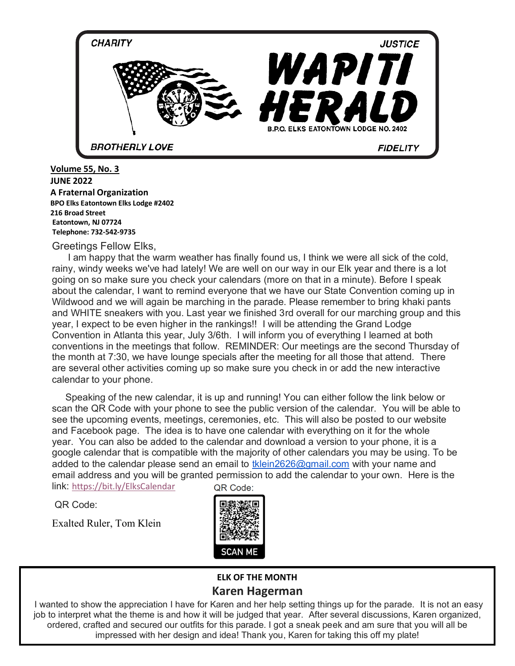

**Volume 54, No. 11 JUNE 2022 JUNE 2022 A Fraternal Organization 216 Broad Street BPO Elks Eatontown Elks Lodge #2402 Eatontown, NJ 07724 Eatontown, NJ 07724 BPO Eatontown Elks Lodge #2402 216 Broad Street Telephone: 732-542-9735 Telephone: 732-542-9735 216 Broad Street Volume 55, No. 3 Volume 55, No. 3 BPO Elks Eatontown Elks Lodge #2402 BPO Elks Eatontown Elks Lodge #2402 216 Broad Street**<br> **Junea** Street

**Greetings Fellow Elks, Tellings Fellow Eik** 

I am happy that the warm weather has finally found us, I think we were all sick of the cold, hg on so make sure you check you<br>wit the colorder. Livent to remind a I WHITE sneakers with you. Last year we finished 3rd overall for our marching group and<br>In Loxnest to be even bisher in the rankings! I will be attending the Grand Lodge Convention in Atlanta this year, July 3/6th. I will inform you of everything I learned at both conventions in the meetings that follow. REMINDER: Our meetings are the second Thursday of the month at 7:30, we have lounge specials after the meeting for all those that attend. There are several other activities coming up so make sure you check in or add the new interactive rainy, windy weeks we've had lately! We are well on our way in our Elk year and there is a lot rainy, windy weeks we've had lately! We are well on our way in our Elk year and there is a lot going on so make sure you check your calendars (more on that in a minute). Before I speak about the calendar, I want to remind everyone that we have our State Convention coming up in Wildwood and we will again be marching in the parade. Please remember to bring khaki pants and WHITE sneakers with you. Last year we finished 3rd overall for our marching group and this year, I expect to be even higher in the rankings!! I will be attending the Grand Lodge convention in Additional this year, buty south it will line the year's every time it cannot at both conventions in the meetings that follow. REMINDER: Our meetings are the second Thursday of are several other activities coming up so make sure you check in or add the new interactive<br>calendar to your phone calendar to your phone.<br>
are several other activities community up so make sure you check in or add the new interactives community when month at *f* .50, we have lounge specials after the meeting for all those that attend. There

Speaking of the new calendar, it is up and running! You can either follow the link below of<br>scan the QR Code with your phone to see the public version of the calendar. You will be able to see the upcoming events, meetings, ceremonies, etc. This will also be posted to our website year. You can also be added to the calendar and download a version to your phone, it is a google calendar that is compatible with the majority of other calendars you may be using. To be email address and you will be granted permission to add the calendar to your own. Here is the and Facebook page. The idea is to have one calendar with everything on it for the whole added to the calendar please send an email to the majority of other calendare you may be doing. To be email address and you will be granted permission to add the calendar to your own. Here is the link: https://bit.lu/ElkeCalendar QD Cada. link: https://bit.ly/ElksCalendar QR Code: Speaking of the new calendar, it is up and running! You can either follow the link below or link: https://bit.ly/ElksCalendar

QR Code: QR Code: QR Code:

and hold onto them. Learn from the mistakes we have made but most Exalted Ruler, Tom Klein Exalted Ruler, Tom Klein Exalted Ruler, Tom Klein



### **ELK OF THE MONTH ELK OF THE MONTH**

#### **ELIST THE MONTH Karen Hagerman Karen Hagerman**

ordered, crafted and secured our outfits for this parade. I got a sneak peek and am sure that you will all be **Peg and Conrow** I wanted to show the appreciation I have for Karen and her help setting things up for the parade. It is not an easy job to interpret what the theme is and how it will be judged that year. After several discussions, Karen organized, impressed with her design and idea! Thank you, Karen for taking this off my plate!

impressed with her design and idea! Thank you, Karen for taking this off my plate!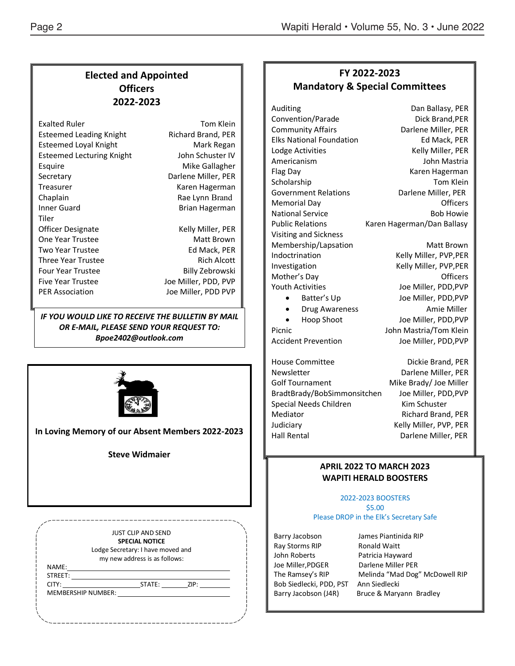### **Elected and Appointed Officers 2022-2023**

| <b>Exalted Ruler</b>             | Tom Klein                 |
|----------------------------------|---------------------------|
| <b>Esteemed Leading Knight</b>   | <b>Richard Brand, PER</b> |
| <b>Esteemed Loyal Knight</b>     | Mark Regan                |
| <b>Esteemed Lecturing Knight</b> | John Schuster IV          |
| Esquire                          | Mike Gallagher            |
| Secretary                        | Darlene Miller, PER       |
| Treasurer                        | Karen Hagerman            |
| Chaplain                         | Rae Lynn Brand            |
| Inner Guard                      | <b>Brian Hagerman</b>     |
| Tiler                            |                           |
| Officer Designate                | Kelly Miller, PER         |
| One Year Trustee                 | Matt Brown                |
| <b>Two Year Trustee</b>          | Ed Mack, PER              |
| Three Year Trustee               | <b>Rich Alcott</b>        |
| <b>Four Year Trustee</b>         | Billy Zebrowski           |
| <b>Five Year Trustee</b>         | Joe Miller, PDD, PVP      |
| <b>PER Association</b>           | Joe Miller, PDD PVP       |
|                                  |                           |

*IF YOU WOULD LIKE TO RECEIVE THE BULLETIN BY MAIL OR E-MAIL, PLEASE SEND YOUR REQUEST TO: Bpoe2402@outlook.com*



**In Loving Memory of our Absent Members 2022-2023**

**Steve Widmaier**

|         |                    | <b>JUST CLIP AND SEND</b><br><b>SPECIAL NOTICE</b> |                    |  |
|---------|--------------------|----------------------------------------------------|--------------------|--|
|         |                    | Lodge Secretary: I have moved and                  |                    |  |
|         |                    | my new address is as follows:                      |                    |  |
| NAME:   |                    |                                                    |                    |  |
| STREET: |                    |                                                    |                    |  |
| CITY:   |                    | STATE:                                             | $\frac{1}{2}$ ZIP: |  |
|         | MEMBERSHIP NUMBER: |                                                    |                    |  |

## **FY 2022-2023 Mandatory & Special Committees**

Auditing Dan Ballasy, PER Public Relations Karen Hagerman/Dan Ballasy Visiting and Sickness Membership/Lapsation Matt Brown Indoctrination Kelly Miller, PVP, PER Investigation Kelly Miller, PVP, PER Mother's Day **Officers** Youth Activities **Victor** Joe Miller, PDD, PVP

Convention/Parade Dick Brand, PER Community Affairs **Darlene Miller**, PER Elks National Foundation Fall Controller Ed Mack, PER Lodge Activities **Kelly Miller**, PER Americanism John Mastria Flag Day **Karen Hagerman** Scholarship Tom Klein Government Relations Darlene Miller, PER Memorial Day **Contract Contract Contract Contract Contract Contract Contract Contract Contract Contract Contract Contract Contract Contract Contract Contract Contract Contract Contract Contract Contract Contract Contract C** National Service **Bob Howie** Bob Howie

• Batter's Up Joe Miller, PDD,PVP Drug Awareness Amie Miller • Hoop Shoot Joe Miller, PDD,PVP Picnic **National Mastria/Tom Klein** Accident Prevention Joe Miller, PDD, PVP

House Committee **Dickie Brand, PER** Newsletter Darlene Miller, PER Golf Tournament Mike Brady/ Joe Miller BradtBrady/BobSimmonsitchen Joe Miller, PDD,PVP Special Needs Children Kim Schuster Mediator **Manufather Richard Brand, PER** Judiciary **Kelly Miller, PVP, PER** Hall Rental **Darlene Miller**, PER

#### **APRIL 2022 TO MARCH 2023 WAPITI HERALD BOOSTERS**

#### 2022-2023 BOOSTERS \$5.00 Please DROP in the Elk's Secretary Safe

Ray Storms RIP Ronald Waitt John Roberts Patricia Hayward Joe Miller,PDGER Darlene Miller PER Bob Siedlecki, PDD, PST Ann Siedlecki

Barry Jacobson James Piantinida RIP The Ramsey's RIP Melinda "Mad Dog" McDowell RIP Barry Jacobson (J4R) Bruce & Maryann Bradley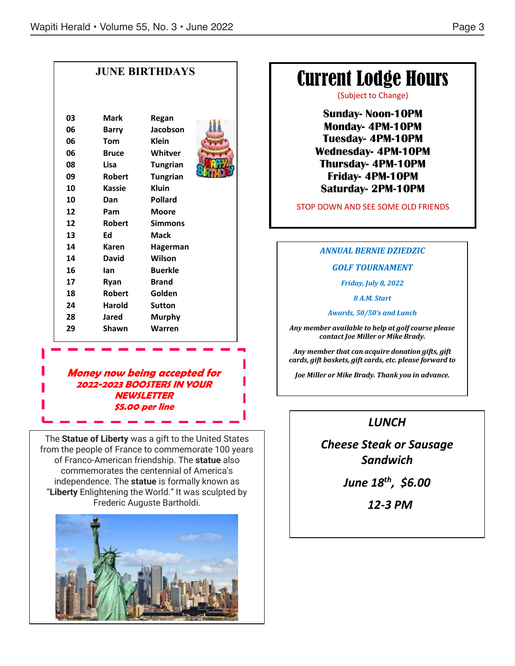|                                                    |                                                                                                                   | <b>JUNE BIRTHDAYS</b>                                                                                                         |  | <b>Current Lodge Hours</b><br>(Subject to Change)                                                                                                                                                                                  |
|----------------------------------------------------|-------------------------------------------------------------------------------------------------------------------|-------------------------------------------------------------------------------------------------------------------------------|--|------------------------------------------------------------------------------------------------------------------------------------------------------------------------------------------------------------------------------------|
| 03<br>06<br>06<br>06<br>08<br>09<br>10<br>10<br>12 | <b>Mark</b><br><b>Barry</b><br><b>Tom</b><br><b>Bruce</b><br>Lisa<br><b>Robert</b><br><b>Kassie</b><br>Dan<br>Pam | Regan<br>Jacobson<br><b>Klein</b><br>Whitver<br><b>Tungrian</b><br><b>Tungrian</b><br><b>Kluin</b><br>Pollard<br><b>Moore</b> |  | <b>Sunday-Noon-10PM</b><br><b>Monday-4PM-10PM</b><br><b>Tuesday-4PM-10PM</b><br><b>Wednesday-4PM-10PM</b><br><b>Thursday- 4PM-10PM</b><br><b>Friday-4PM-10PM</b><br><b>Saturday-2PM-10PM</b><br>STOP DOWN AND SEE SOME OLD FRIENDS |
| 12<br>13                                           | <b>Robert</b><br>Ed                                                                                               | <b>Simmons</b><br><b>Mack</b>                                                                                                 |  |                                                                                                                                                                                                                                    |
| 14<br>14<br>16<br>17<br>18<br>24<br>28<br>29       | Karen<br>David<br>lan<br>Ryan<br><b>Robert</b><br>Harold<br><b>Jared</b><br>Shawn                                 | Hagerman<br>Wilson<br><b>Buerkle</b><br><b>Brand</b><br>Golden<br><b>Sutton</b><br>Murphy<br>Warren                           |  | <b>ANNUAL BERNIE DZIEDZIC</b><br><b>GOLF TOURNAMENT</b><br><b>Friday, July 8, 2022</b><br>8 A.M. Start<br>Awards, 50/50's and Lunch<br>Any member available to help at golf course please<br>contact Joe Miller or Mike Brady.     |
|                                                    |                                                                                                                   |                                                                                                                               |  | Any member that can acquire donation gifts, gift<br>cards, gift baskets, gift cards, etc. please forward to                                                                                                                        |

**Money now being accepted for 2022-2023 BOOSTERS IN YOUR NEWSLETTER \$5.00 per line**

**"Liberty** Enlightening the World." It was sculpted by The **Statue of Liberty** was a gift to the United States from the people of France to commemorate 100 years of Franco-American friendship. The statue also commemorates the centennial of America's independence. The statue is formally known as Frederic Auguste Bartholdi.



# *LUNCH*

*Joe Miller or Mike Brady. Thank you in advance.*

*Cheese Steak or Sausage Sandwich*

*June 18th, \$6.00*

 *12-3 PM*